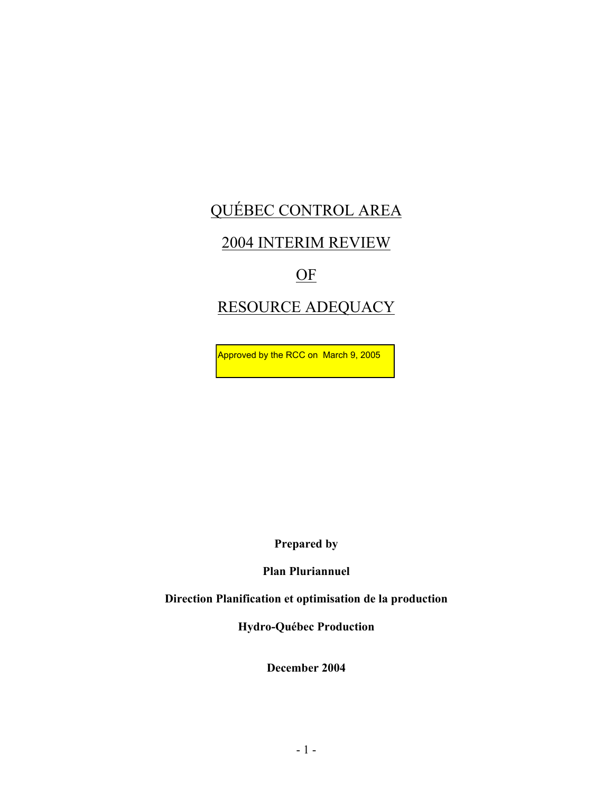# QUÉBEC CONTROL AREA

# 2004 INTERIM REVIEW

# OF

# RESOURCE ADEQUACY

Approved by the RCC on March 9, 2005

**Prepared by** 

**Plan Pluriannuel** 

**Direction Planification et optimisation de la production** 

**Hydro-Québec Production** 

**December 2004**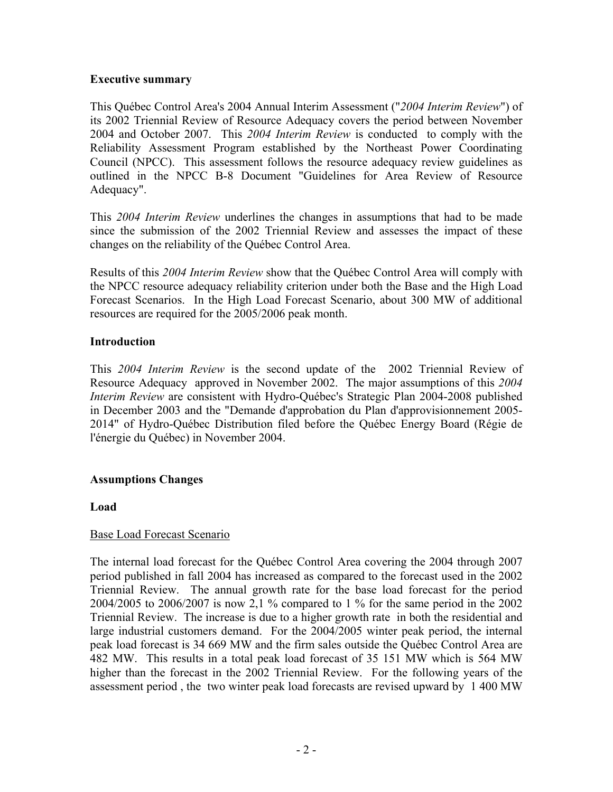# **Executive summary**

This Québec Control Area's 2004 Annual Interim Assessment ("*2004 Interim Review*") of its 2002 Triennial Review of Resource Adequacy covers the period between November 2004 and October 2007. This *2004 Interim Review* is conducted to comply with the Reliability Assessment Program established by the Northeast Power Coordinating Council (NPCC). This assessment follows the resource adequacy review guidelines as outlined in the NPCC B-8 Document "Guidelines for Area Review of Resource Adequacy".

This *2004 Interim Review* underlines the changes in assumptions that had to be made since the submission of the 2002 Triennial Review and assesses the impact of these changes on the reliability of the Québec Control Area.

Results of this *2004 Interim Review* show that the Québec Control Area will comply with the NPCC resource adequacy reliability criterion under both the Base and the High Load Forecast Scenarios. In the High Load Forecast Scenario, about 300 MW of additional resources are required for the 2005/2006 peak month.

# **Introduction**

This *2004 Interim Review* is the second update of the 2002 Triennial Review of Resource Adequacy approved in November 2002. The major assumptions of this *2004 Interim Review* are consistent with Hydro-Québec's Strategic Plan 2004-2008 published in December 2003 and the "Demande d'approbation du Plan d'approvisionnement 2005- 2014" of Hydro-Québec Distribution filed before the Québec Energy Board (Régie de l'énergie du Québec) in November 2004.

# **Assumptions Changes**

#### **Load**

# Base Load Forecast Scenario

The internal load forecast for the Québec Control Area covering the 2004 through 2007 period published in fall 2004 has increased as compared to the forecast used in the 2002 Triennial Review. The annual growth rate for the base load forecast for the period 2004/2005 to 2006/2007 is now 2,1 % compared to 1 % for the same period in the 2002 Triennial Review. The increase is due to a higher growth rate in both the residential and large industrial customers demand. For the 2004/2005 winter peak period, the internal peak load forecast is 34 669 MW and the firm sales outside the Québec Control Area are 482 MW. This results in a total peak load forecast of 35 151 MW which is 564 MW higher than the forecast in the 2002 Triennial Review. For the following years of the assessment period , the two winter peak load forecasts are revised upward by 1 400 MW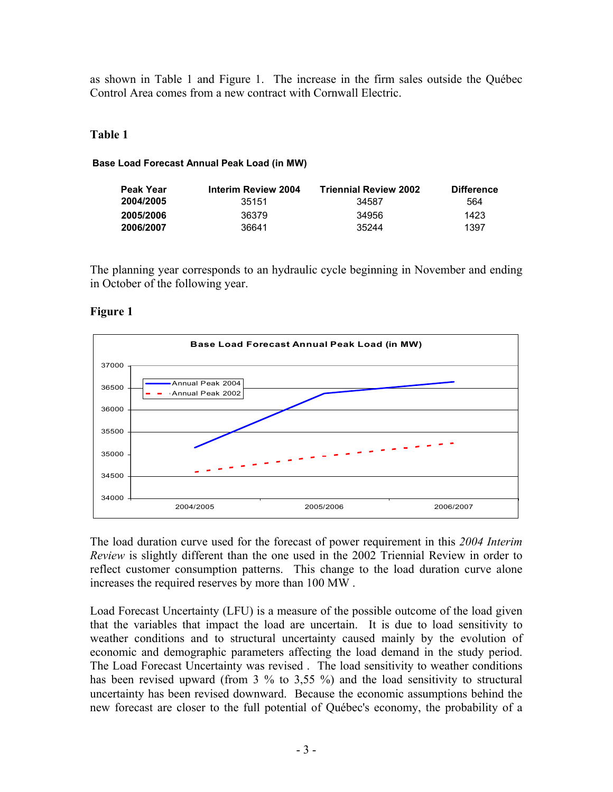as shown in Table 1 and Figure 1. The increase in the firm sales outside the Québec Control Area comes from a new contract with Cornwall Electric.

#### **Table 1**

#### **Base Load Forecast Annual Peak Load (in MW)**

| Peak Year | Interim Review 2004 | <b>Triennial Review 2002</b> | <b>Difference</b> |
|-----------|---------------------|------------------------------|-------------------|
| 2004/2005 | 35151               | 34587                        | 564               |
| 2005/2006 | 36379               | 34956                        | 1423              |
| 2006/2007 | 36641               | 35244                        | 1397              |

The planning year corresponds to an hydraulic cycle beginning in November and ending in October of the following year.

# **Figure 1**



The load duration curve used for the forecast of power requirement in this *2004 Interim Review* is slightly different than the one used in the 2002 Triennial Review in order to reflect customer consumption patterns. This change to the load duration curve alone increases the required reserves by more than 100 MW .

Load Forecast Uncertainty (LFU) is a measure of the possible outcome of the load given that the variables that impact the load are uncertain. It is due to load sensitivity to weather conditions and to structural uncertainty caused mainly by the evolution of economic and demographic parameters affecting the load demand in the study period. The Load Forecast Uncertainty was revised . The load sensitivity to weather conditions has been revised upward (from 3 % to 3,55 %) and the load sensitivity to structural uncertainty has been revised downward. Because the economic assumptions behind the new forecast are closer to the full potential of Québec's economy, the probability of a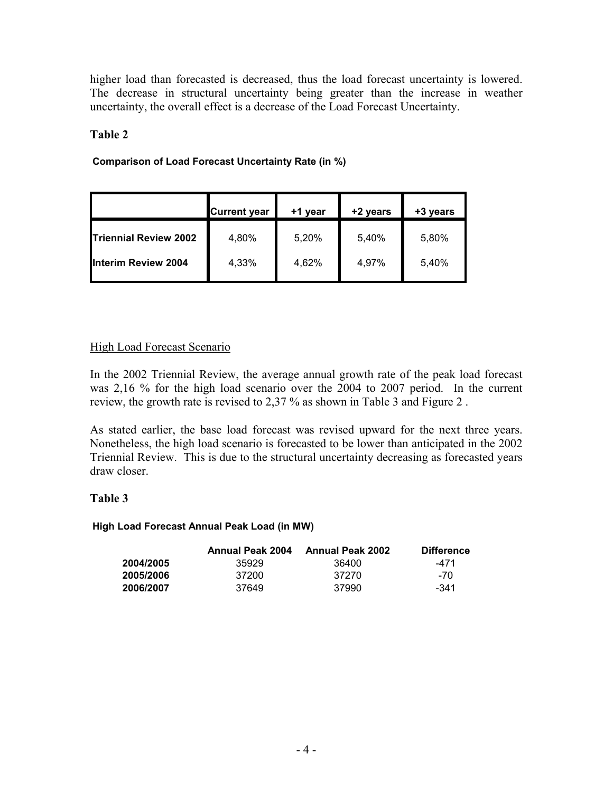higher load than forecasted is decreased, thus the load forecast uncertainty is lowered. The decrease in structural uncertainty being greater than the increase in weather uncertainty, the overall effect is a decrease of the Load Forecast Uncertainty.

# **Table 2**

# **Comparison of Load Forecast Uncertainty Rate (in %)**

|                               | <b>Current year</b> | +1 year | +2 years | +3 years |
|-------------------------------|---------------------|---------|----------|----------|
| <b>ITriennial Review 2002</b> | 4,80%               | 5,20%   | 5,40%    | 5,80%    |
| <b>Interim Review 2004</b>    | 4,33%               | 4,62%   | 4,97%    | 5,40%    |

# High Load Forecast Scenario

In the 2002 Triennial Review, the average annual growth rate of the peak load forecast was 2,16 % for the high load scenario over the 2004 to 2007 period. In the current review, the growth rate is revised to 2,37 % as shown in Table 3 and Figure 2 .

As stated earlier, the base load forecast was revised upward for the next three years. Nonetheless, the high load scenario is forecasted to be lower than anticipated in the 2002 Triennial Review. This is due to the structural uncertainty decreasing as forecasted years draw closer.

# **Table 3**

#### **High Load Forecast Annual Peak Load (in MW)**

|           | Annual Peak 2004 | Annual Peak 2002 | <b>Difference</b> |
|-----------|------------------|------------------|-------------------|
| 2004/2005 | 35929            | 36400            | -471              |
| 2005/2006 | 37200            | 37270            | -70               |
| 2006/2007 | 37649            | 37990            | $-341$            |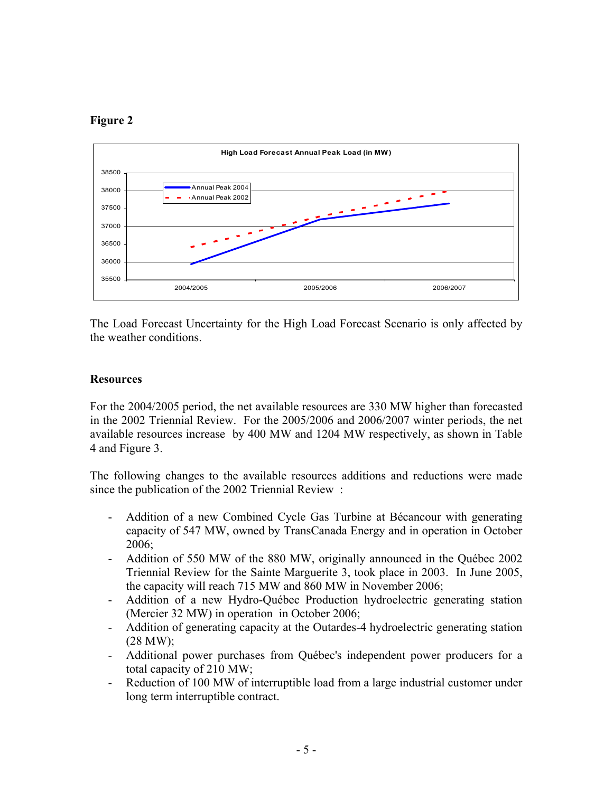# **Figure 2**



The Load Forecast Uncertainty for the High Load Forecast Scenario is only affected by the weather conditions.

# **Resources**

For the 2004/2005 period, the net available resources are 330 MW higher than forecasted in the 2002 Triennial Review. For the 2005/2006 and 2006/2007 winter periods, the net available resources increase by 400 MW and 1204 MW respectively, as shown in Table 4 and Figure 3.

The following changes to the available resources additions and reductions were made since the publication of the 2002 Triennial Review :

- Addition of a new Combined Cycle Gas Turbine at Bécancour with generating capacity of 547 MW, owned by TransCanada Energy and in operation in October 2006;
- Addition of 550 MW of the 880 MW, originally announced in the Québec 2002 Triennial Review for the Sainte Marguerite 3, took place in 2003. In June 2005, the capacity will reach 715 MW and 860 MW in November 2006;
- Addition of a new Hydro-Québec Production hydroelectric generating station (Mercier 32 MW) in operation in October 2006;
- Addition of generating capacity at the Outardes-4 hydroelectric generating station (28 MW);
- Additional power purchases from Québec's independent power producers for a total capacity of 210 MW;
- Reduction of 100 MW of interruptible load from a large industrial customer under long term interruptible contract.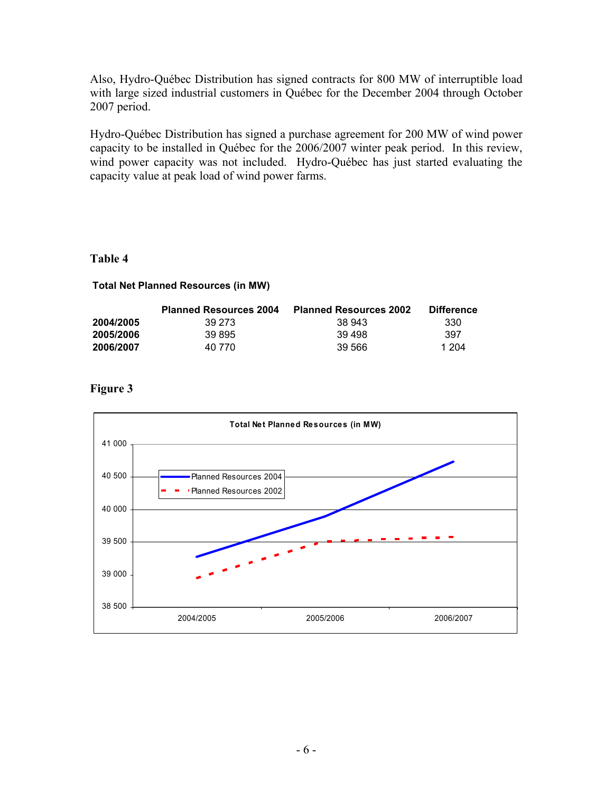Also, Hydro-Québec Distribution has signed contracts for 800 MW of interruptible load with large sized industrial customers in Québec for the December 2004 through October 2007 period.

Hydro-Québec Distribution has signed a purchase agreement for 200 MW of wind power capacity to be installed in Québec for the 2006/2007 winter peak period. In this review, wind power capacity was not included. Hydro-Québec has just started evaluating the capacity value at peak load of wind power farms.

# **Table 4**

#### **Total Net Planned Resources (in MW)**

|           | <b>Planned Resources 2004</b> | <b>Planned Resources 2002</b> | <b>Difference</b> |
|-----------|-------------------------------|-------------------------------|-------------------|
| 2004/2005 | 39 273                        | 38 943                        | 330               |
| 2005/2006 | 39 895                        | 39 498                        | 397               |
| 2006/2007 | 40 770                        | 39.566                        | 1 204             |

# **Figure 3**

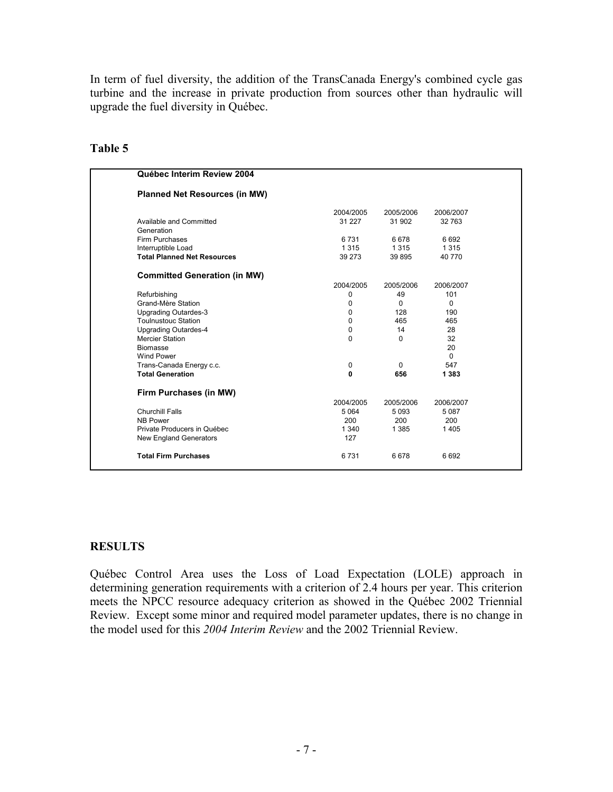In term of fuel diversity, the addition of the TransCanada Energy's combined cycle gas turbine and the increase in private production from sources other than hydraulic will upgrade the fuel diversity in Québec.

| Québec Interim Review 2004           |           |           |           |
|--------------------------------------|-----------|-----------|-----------|
| <b>Planned Net Resources (in MW)</b> |           |           |           |
|                                      | 2004/2005 | 2005/2006 | 2006/2007 |
| Available and Committed              | 31 2 2 7  | 31 902    | 32763     |
| Generation                           |           |           |           |
| Firm Purchases                       | 6731      | 6678      | 6 6 9 2   |
| Interruptible Load                   | 1 3 1 5   | 1 3 1 5   | 1 3 1 5   |
| <b>Total Planned Net Resources</b>   | 39 273    | 39 895    | 40 770    |
| <b>Committed Generation (in MW)</b>  |           |           |           |
|                                      | 2004/2005 | 2005/2006 | 2006/2007 |
| Refurbishing                         | 0         | 49        | 101       |
| Grand-Mère Station                   | 0         | $\Omega$  | $\Omega$  |
| <b>Upgrading Outardes-3</b>          | 0         | 128       | 190       |
| <b>Toulnustouc Station</b>           | 0         | 465       | 465       |
| <b>Upgrading Outardes-4</b>          | 0         | 14        | 28        |
| <b>Mercier Station</b>               | 0         | 0         | 32        |
| <b>Biomasse</b>                      |           |           | 20        |
| <b>Wind Power</b>                    |           |           | $\Omega$  |
| Trans-Canada Energy c.c.             | 0         | $\Omega$  | 547       |
| <b>Total Generation</b>              | $\bf{0}$  | 656       | 1 3 8 3   |
| Firm Purchases (in MW)               |           |           |           |
|                                      | 2004/2005 | 2005/2006 | 2006/2007 |
| Churchill Falls                      | 5 0 64    | 5093      | 5087      |
| <b>NB Power</b>                      | 200       | 200       | 200       |
| Private Producers in Québec          | 1 3 4 0   | 1 3 8 5   | 1405      |
| New England Generators               | 127       |           |           |
| <b>Total Firm Purchases</b>          | 6731      | 6678      | 6692      |

# **Table 5**

### **RESULTS**

Québec Control Area uses the Loss of Load Expectation (LOLE) approach in determining generation requirements with a criterion of 2.4 hours per year. This criterion meets the NPCC resource adequacy criterion as showed in the Québec 2002 Triennial Review. Except some minor and required model parameter updates, there is no change in the model used for this *2004 Interim Review* and the 2002 Triennial Review.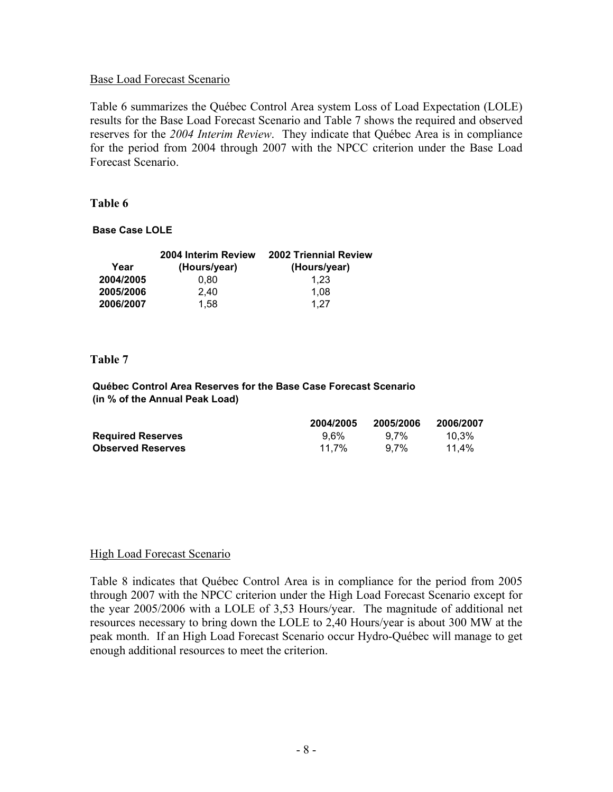#### Base Load Forecast Scenario

Table 6 summarizes the Québec Control Area system Loss of Load Expectation (LOLE) results for the Base Load Forecast Scenario and Table 7 shows the required and observed reserves for the *2004 Interim Review*. They indicate that Québec Area is in compliance for the period from 2004 through 2007 with the NPCC criterion under the Base Load Forecast Scenario.

#### **Table 6**

#### **Base Case LOLE**

|           | 2004 Interim Review | <b>2002 Triennial Review</b> |
|-----------|---------------------|------------------------------|
| Year      | (Hours/year)        | (Hours/year)                 |
| 2004/2005 | 0.80                | 1.23                         |
| 2005/2006 | 2.40                | 1.08                         |
| 2006/2007 | 1,58                | 1.27                         |

#### **Table 7**

**Québec Control Area Reserves for the Base Case Forecast Scenario (in % of the Annual Peak Load)**

|                          | 2004/2005 | 2005/2006 | 2006/2007 |
|--------------------------|-----------|-----------|-----------|
| <b>Required Reserves</b> | $9.6\%$   | 9.7%      | 10.3%     |
| <b>Observed Reserves</b> | 11.7%     | $9.7\%$   | 11.4%     |

#### High Load Forecast Scenario

Table 8 indicates that Québec Control Area is in compliance for the period from 2005 through 2007 with the NPCC criterion under the High Load Forecast Scenario except for the year 2005/2006 with a LOLE of 3,53 Hours/year. The magnitude of additional net resources necessary to bring down the LOLE to 2,40 Hours/year is about 300 MW at the peak month. If an High Load Forecast Scenario occur Hydro-Québec will manage to get enough additional resources to meet the criterion.